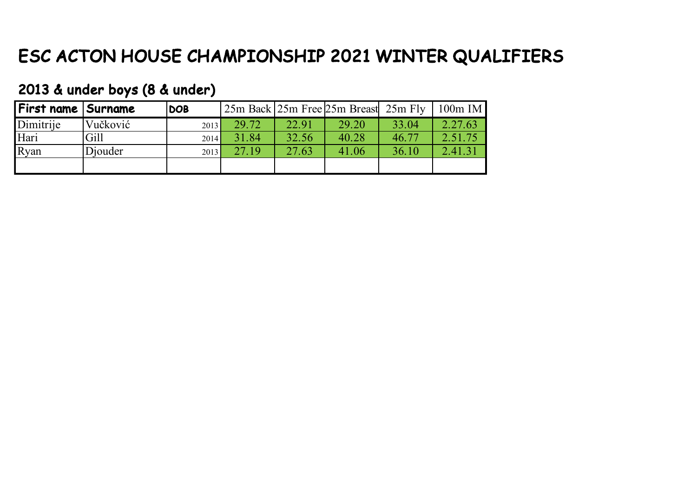# ESC ACTON HOUSE CHAMPIONSHIP 2021 WINTER QUALIFIERS

#### 2013 & under boys (8 & under)

| First name   Surname |          | <b>DOB</b> |       |       | 25m Back 25m Free 25m Breast 25m Fly |       | $100m$ IM |
|----------------------|----------|------------|-------|-------|--------------------------------------|-------|-----------|
| Dimitrije            | Vučković | 2013       | 29.72 | 22.91 | 29.20                                | 33.04 | 2.27.63   |
| Hari                 | Gill     | 2014       | 31.84 | 32.56 | 40.28                                | 46.77 | 2.51.75   |
| Ryan                 | Diouder  | 2013       | 27.19 | 27.63 | 41.06                                | 36.10 | 2.41.31   |
|                      |          |            |       |       |                                      |       |           |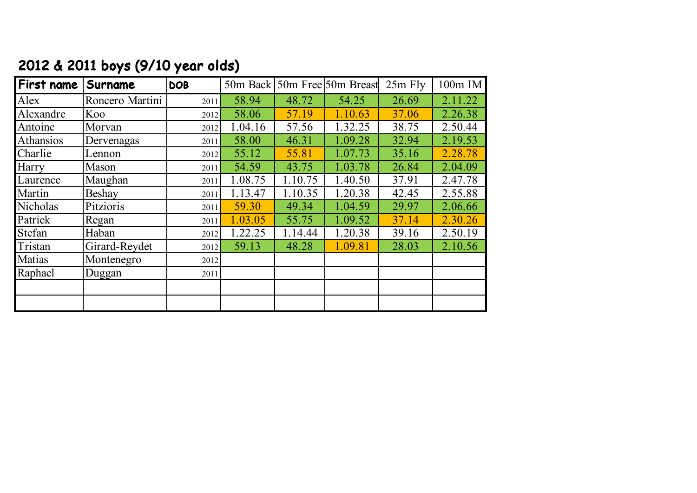| First name | Surname         | <b>DOB</b> |         |         | 50m Back 50m Free 50m Breast | $25m$ Fly | 100m IM |
|------------|-----------------|------------|---------|---------|------------------------------|-----------|---------|
| Alex       | Roncero Martini | 2011       | 58.94   | 48.72   | 54.25                        | 26.69     | 2.11.22 |
| Alexandre  | Koo             | 2012       | 58.06   | 57.19   | 1.10.63                      | 37.06     | 2.26.38 |
| Antoine    | Morvan          | 2012       | 1.04.16 | 57.56   | 1.32.25                      | 38.75     | 2.50.44 |
| Athansios  | Dervenagas      | 2011       | 58.00   | 46.31   | 1.09.28                      | 32.94     | 2.19.53 |
| Charlie    | Lennon          | 2012       | 55.12   | 55.81   | 1.07.73                      | 35.16     | 2.28.78 |
| Harry      | Mason           | 2011       | 54.59   | 43.75   | 1.03.78                      | 26.84     | 2.04.09 |
| Laurence   | Maughan         | 2011       | 1.08.75 | 1.10.75 | 1.40.50                      | 37.91     | 2.47.78 |
| Martin     | Beshay          | 2011       | 1.13.47 | 1.10.35 | 1.20.38                      | 42.45     | 2.55.88 |
| Nicholas   | Pitzioris       | 2011       | 59.30   | 49.34   | 1.04.59                      | 29.97     | 2.06.66 |
| Patrick    | Regan           | 2011       | 1.03.05 | 55.75   | 1.09.52                      | 37.14     | 2.30.26 |
| Stefan     | Haban           | 2012       | 1.22.25 | 1.14.44 | 1.20.38                      | 39.16     | 2.50.19 |
| Tristan    | Girard-Reydet   | 2012       | 59.13   | 48.28   | 1.09.81                      | 28.03     | 2.10.56 |
| Matias     | Montenegro      | 2012       |         |         |                              |           |         |
| Raphael    | Duggan          | 2011       |         |         |                              |           |         |
|            |                 |            |         |         |                              |           |         |
|            |                 |            |         |         |                              |           |         |

## 2012 & 2011 boys (9/10 year olds)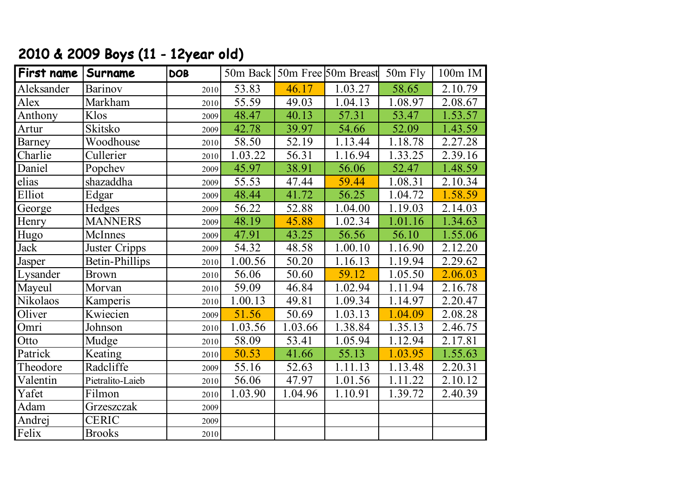## 2010 & 2009 Boys (11 - 12year old)

| First name    | Surname          | <b>DOB</b> |         |         | 50m Back 50m Free 50m Breast | 50m Fly | 100m IM |
|---------------|------------------|------------|---------|---------|------------------------------|---------|---------|
| Aleksander    | Barinov          | 2010       | 53.83   | 46.17   | 1.03.27                      | 58.65   | 2.10.79 |
| Alex          | Markham          | 2010       | 55.59   | 49.03   | 1.04.13                      | 1.08.97 | 2.08.67 |
| Anthony       | Klos             | 2009       | 48.47   | 40.13   | 57.31                        | 53.47   | 1.53.57 |
| Artur         | Skitsko          | 2009       | 42.78   | 39.97   | 54.66                        | 52.09   | 1.43.59 |
| <b>Barney</b> | Woodhouse        | 2010       | 58.50   | 52.19   | 1.13.44                      | 1.18.78 | 2.27.28 |
| Charlie       | Cullerier        | 2010       | 1.03.22 | 56.31   | 1.16.94                      | 1.33.25 | 2.39.16 |
| Daniel        | Popchev          | 2009       | 45.97   | 38.91   | 56.06                        | 52.47   | 1.48.59 |
| elias         | shazaddha        | 2009       | 55.53   | 47.44   | 59.44                        | 1.08.31 | 2.10.34 |
| Elliot        | Edgar            | 2009       | 48.44   | 41.72   | 56.25                        | 1.04.72 | 1.58.59 |
| George        | Hedges           | 2009       | 56.22   | 52.88   | 1.04.00                      | 1.19.03 | 2.14.03 |
| Henry         | <b>MANNERS</b>   | 2009       | 48.19   | 45.88   | 1.02.34                      | 1.01.16 | 1.34.63 |
| Hugo          | McInnes          | 2009       | 47.91   | 43.25   | 56.56                        | 56.10   | 1.55.06 |
| Jack          | Juster Cripps    | 2009       | 54.32   | 48.58   | 1.00.10                      | 1.16.90 | 2.12.20 |
| Jasper        | Betin-Phillips   | 2010       | 1.00.56 | 50.20   | 1.16.13                      | 1.19.94 | 2.29.62 |
| Lysander      | <b>Brown</b>     | 2010       | 56.06   | 50.60   | 59.12                        | 1.05.50 | 2.06.03 |
| Mayeul        | Morvan           | 2010       | 59.09   | 46.84   | 1.02.94                      | 1.11.94 | 2.16.78 |
| Nikolaos      | Kamperis         | 2010       | 1.00.13 | 49.81   | 1.09.34                      | 1.14.97 | 2.20.47 |
| Oliver        | Kwiecien         | 2009       | 51.56   | 50.69   | 1.03.13                      | 1.04.09 | 2.08.28 |
| Omri          | Johnson          | 2010       | 1.03.56 | 1.03.66 | 1.38.84                      | 1.35.13 | 2.46.75 |
| Otto          | Mudge            | 2010       | 58.09   | 53.41   | 1.05.94                      | 1.12.94 | 2.17.81 |
| Patrick       | Keating          | 2010       | 50.53   | 41.66   | 55.13                        | 1.03.95 | 1.55.63 |
| Theodore      | Radcliffe        | 2009       | 55.16   | 52.63   | 1.11.13                      | 1.13.48 | 2.20.31 |
| Valentin      | Pietralito-Laieb | 2010       | 56.06   | 47.97   | 1.01.56                      | 1.11.22 | 2.10.12 |
| Yafet         | Filmon           | 2010       | 1.03.90 | 1.04.96 | 1.10.91                      | 1.39.72 | 2.40.39 |
| Adam          | Grzeszczak       | 2009       |         |         |                              |         |         |
| Andrej        | <b>CERIC</b>     | 2009       |         |         |                              |         |         |
| Felix         | <b>Brooks</b>    | 2010       |         |         |                              |         |         |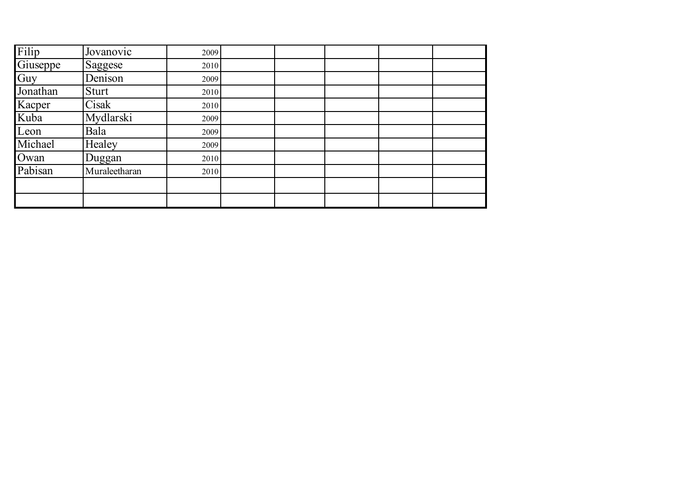| Filip    | Jovanovic     | 2009 |  |  |  |
|----------|---------------|------|--|--|--|
| Giuseppe | Saggese       | 2010 |  |  |  |
| Guy      | Denison       | 2009 |  |  |  |
| Jonathan | Sturt         | 2010 |  |  |  |
| Kacper   | Cisak         | 2010 |  |  |  |
| Kuba     | Mydlarski     | 2009 |  |  |  |
| Leon     | Bala          | 2009 |  |  |  |
| Michael  | Healey        | 2009 |  |  |  |
| Owan     | Duggan        | 2010 |  |  |  |
| Pabisan  | Muraleetharan | 2010 |  |  |  |
|          |               |      |  |  |  |
|          |               |      |  |  |  |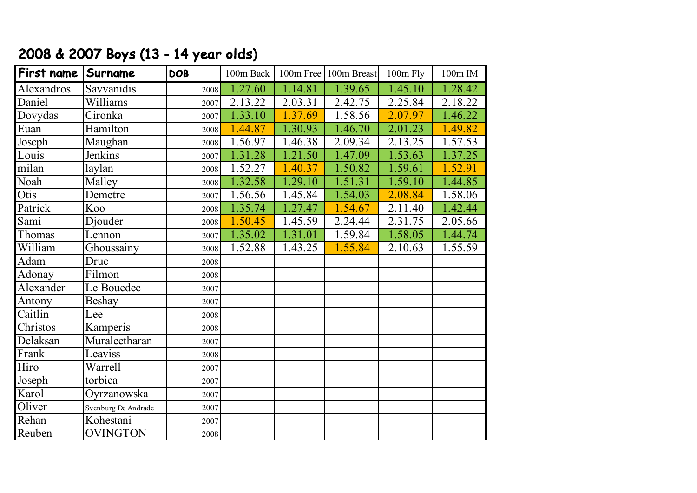| 2000 a 2007 BOYS (15 - 14 year olds) |            |            |           |           |             |          |         |  |
|--------------------------------------|------------|------------|-----------|-----------|-------------|----------|---------|--|
| <b>First name</b>                    | Surname    | <b>DOB</b> | 100m Back | 100m Free | 100m Breast | 100m Fly | 100m IM |  |
| Alexandros                           | Savvanidis | 2008       | 1.27.60   | 1.14.81   | 1.39.65     | 1.45.10  | 1.28.42 |  |
| Daniel                               | Williams   | 2007       | 2.13.22   | 2.03.31   | 2.42.75     | 2.25.84  | 2.18.22 |  |
| Dovydas                              | Cironka    | 2007       | 1.33.10   | 1.37.69   | 1.58.56     | 2.07.97  | 1.46.22 |  |
| Euan                                 | Hamilton   | 2008       | 1.44.87   | 1.30.93   | 1.46.70     | 2.01.23  | 1.49.82 |  |
| Joseph                               | Maughan    | 2008       | 1.56.97   | 1.46.38   | 2.09.34     | 2.13.25  | 1.57.53 |  |
| Louis                                | Jenkins    | 2007       | 1.31.28   | 1.21.50   | 1.47.09     | 1.53.63  | 1.37.25 |  |
| milan                                | laylan     | 2008       | 1.52.27   | 1.40.37   | 1.50.82     | 1.59.61  | 1.52.91 |  |

#### 2008 & 2007 Boys (13 - 14 year olds)

| Daniel                     | Williams            | 2007 | 2.13.22 | 2.03.31 | 2.42.75 | 2.25.84 | 2.18.22 |
|----------------------------|---------------------|------|---------|---------|---------|---------|---------|
| Dovydas                    | Cironka             | 2007 | 1.33.10 | 1.37.69 | 1.58.56 | 2.07.97 | 1.46.22 |
| Euan                       | Hamilton            | 2008 | 1.44.87 | 1.30.93 | 1.46.70 | 2.01.23 | 1.49.82 |
| Joseph                     | Maughan             | 2008 | 1.56.97 | 1.46.38 | 2.09.34 | 2.13.25 | 1.57.53 |
| Louis                      | Jenkins             | 2007 | 1.31.28 | 1.21.50 | 1.47.09 | 1.53.63 | 1.37.25 |
| milan                      | laylan              | 2008 | 1.52.27 | 1.40.37 | 1.50.82 | 1.59.61 | 1.52.91 |
| Noah                       | Malley              | 2008 | 1.32.58 | 1.29.10 | 1.51.31 | 1.59.10 | 1.44.85 |
| Otis                       | Demetre             | 2007 | 1.56.56 | 1.45.84 | 1.54.03 | 2.08.84 | 1.58.06 |
| Patrick                    | Koo                 | 2008 | 1.35.74 | 1.27.47 | 1.54.67 | 2.11.40 | 1.42.44 |
| Sami                       | Djouder             | 2008 | 1.50.45 | 1.45.59 | 2.24.44 | 2.31.75 | 2.05.66 |
| Thomas                     | Lennon              | 2007 | 1.35.02 | 1.31.01 | 1.59.84 | 1.58.05 | 1.44.74 |
| William                    | Ghoussainy          | 2008 | 1.52.88 | 1.43.25 | 1.55.84 | 2.10.63 | 1.55.59 |
| Adam                       | Druc                | 2008 |         |         |         |         |         |
| Adonay                     | Filmon              | 2008 |         |         |         |         |         |
| Alexander                  | Le Bouedec          | 2007 |         |         |         |         |         |
| Antony                     | <b>Beshay</b>       | 2007 |         |         |         |         |         |
| Caitlin                    | Lee                 | 2008 |         |         |         |         |         |
| Christos                   | Kamperis            | 2008 |         |         |         |         |         |
| Delaksan                   | Muraleetharan       | 2007 |         |         |         |         |         |
| Frank                      | Leaviss             | 2008 |         |         |         |         |         |
| Hiro                       | Warrell             | 2007 |         |         |         |         |         |
| Joseph                     | torbica             | 2007 |         |         |         |         |         |
| Karol                      | Oyrzanowska         | 2007 |         |         |         |         |         |
| Oliver                     | Svenburg De Andrade | 2007 |         |         |         |         |         |
| $\overline{\text{Re}}$ han | Kohestani           | 2007 |         |         |         |         |         |
| Reuben                     | <b>OVINGTON</b>     | 2008 |         |         |         |         |         |
|                            |                     |      |         |         |         |         |         |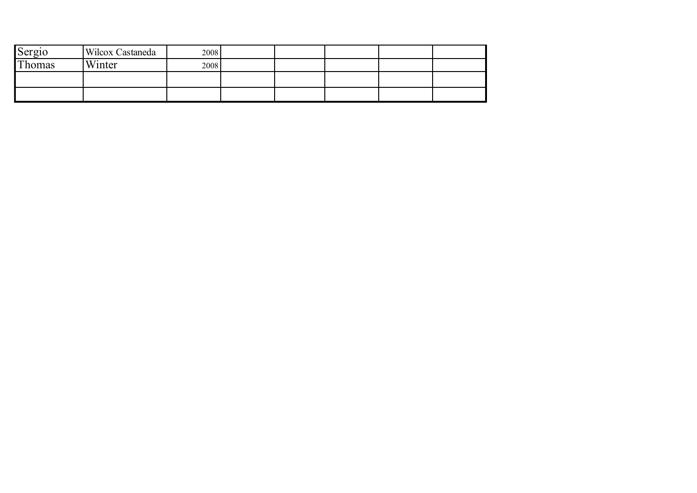| Sergio | Wilcox Castaneda | 2008 |  |  |  |
|--------|------------------|------|--|--|--|
| Thomas | Winter           | 2008 |  |  |  |
|        |                  |      |  |  |  |
|        |                  |      |  |  |  |